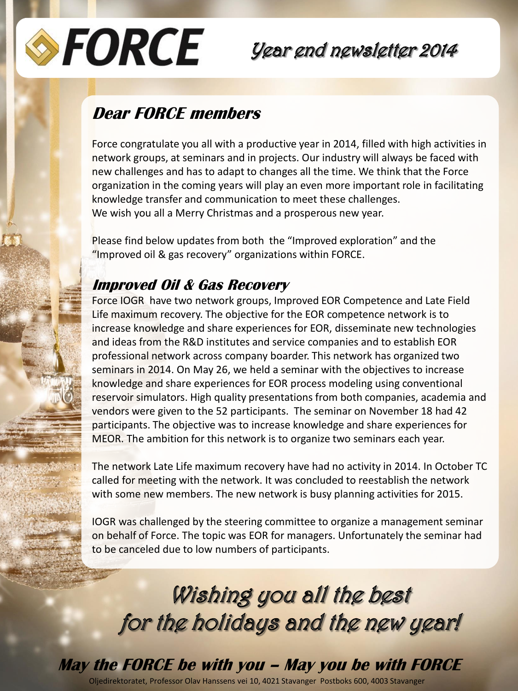

## Year end newsletter 2014

### **Dear FORCE members**

Force congratulate you all with a productive year in 2014, filled with high activities in network groups, at seminars and in projects. Our industry will always be faced with new challenges and has to adapt to changes all the time. We think that the Force organization in the coming years will play an even more important role in facilitating knowledge transfer and communication to meet these challenges. We wish you all a Merry Christmas and a prosperous new year.

Please find below updates from both the "Improved exploration" and the "Improved oil & gas recovery" organizations within FORCE.

### **Improved Oil & Gas Recovery**

Force IOGR have two network groups, Improved EOR Competence and Late Field Life maximum recovery. The objective for the EOR competence network is to increase knowledge and share experiences for EOR, disseminate new technologies and ideas from the R&D institutes and service companies and to establish EOR professional network across company boarder. This network has organized two seminars in 2014. On May 26, we held a seminar with the objectives to increase knowledge and share experiences for EOR process modeling using conventional reservoir simulators. High quality presentations from both companies, academia and vendors were given to the 52 participants. The seminar on November 18 had 42 participants. The objective was to increase knowledge and share experiences for MEOR. The ambition for this network is to organize two seminars each year.

The network Late Life maximum recovery have had no activity in 2014. In October TC called for meeting with the network. It was concluded to reestablish the network with some new members. The new network is busy planning activities for 2015.

IOGR was challenged by the steering committee to organize a management seminar on behalf of Force. The topic was EOR for managers. Unfortunately the seminar had to be canceled due to low numbers of participants.

Wishing you all the best for the holidays and the new year!

# **May the FORCE be with you – May you be with FORCE**

Oljedirektoratet, Professor Olav Hanssens vei 10, 4021 Stavanger Postboks 600, 4003 Stavanger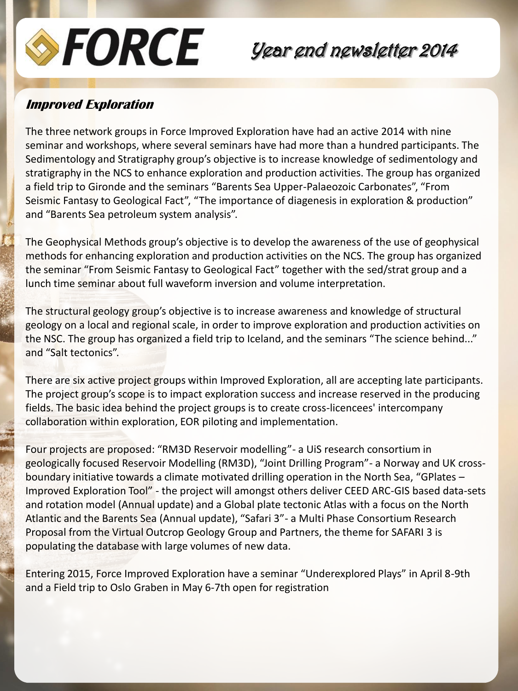

## Year end newsletter 2014

#### **Improved Exploration**

The three network groups in Force Improved Exploration have had an active 2014 with nine seminar and workshops, where several seminars have had more than a hundred participants. The Sedimentology and Stratigraphy group's objective is to increase knowledge of sedimentology and stratigraphy in the NCS to enhance exploration and production activities. The group has organized a field trip to Gironde and the seminars "Barents Sea Upper-Palaeozoic Carbonates", "From Seismic Fantasy to Geological Fact", "The importance of diagenesis in exploration & production" and "Barents Sea petroleum system analysis".

The Geophysical Methods group's objective is to develop the awareness of the use of geophysical methods for enhancing exploration and production activities on the NCS. The group has organized the seminar "From Seismic Fantasy to Geological Fact" together with the sed/strat group and a lunch time seminar about full waveform inversion and volume interpretation.

The structural geology group's objective is to increase awareness and knowledge of structural geology on a local and regional scale, in order to improve exploration and production activities on the NSC. The group has organized a field trip to Iceland, and the seminars "The science behind..." and "Salt tectonics".

There are six active project groups within Improved Exploration, all are accepting late participants. The project group's scope is to impact exploration success and increase reserved in the producing fields. The basic idea behind the project groups is to create cross-licencees' intercompany collaboration within exploration, EOR piloting and implementation.

Four projects are proposed: "RM3D Reservoir modelling"- a UiS research consortium in geologically focused Reservoir Modelling (RM3D), "Joint Drilling Program"- a Norway and UK crossboundary initiative towards a climate motivated drilling operation in the North Sea, "GPlates – Improved Exploration Tool" - the project will amongst others deliver CEED ARC-GIS based data-sets and rotation model (Annual update) and a Global plate tectonic Atlas with a focus on the North Atlantic and the Barents Sea (Annual update), "Safari 3"- a Multi Phase Consortium Research Proposal from the Virtual Outcrop Geology Group and Partners, the theme for SAFARI 3 is populating the database with large volumes of new data.

Entering 2015, Force Improved Exploration have a seminar "Underexplored Plays" in April 8-9th and a Field trip to Oslo Graben in May 6-7th open for registration